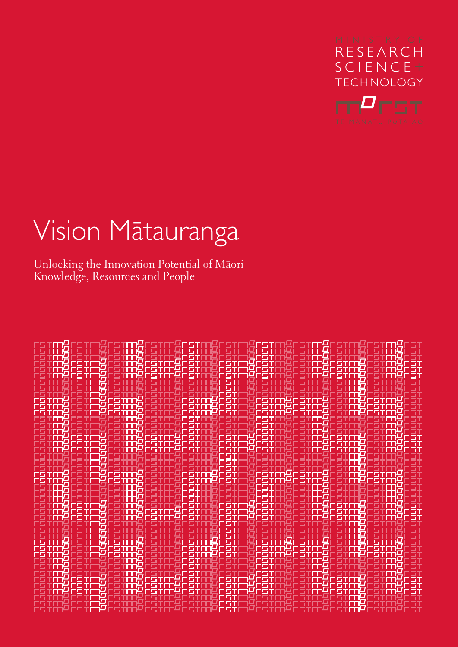

# Vision Mätauranga

Unlocking the Innovation Potential of Mäori Knowledge, Resources and People

|                 | -97                         | -97                      | FST              | ΞŦ<br>ìЦ | 79.TP          |                           |
|-----------------|-----------------------------|--------------------------|------------------|----------|----------------|---------------------------|
| 21 N.S. X       | Н                           | 146511<br>14051<br>لإعلا | 1 L L<br>سا      | 12 T S T | 山<br>14 O.S TI | ப<br>1911                 |
| stit<br>iД      | ᅞ                           | ĦΩ<br>⊬<br>ட             | <u> 21 Jan 1</u> | FST      | חדפי<br>覚      | بالإكا<br><u> 2 zerri</u> |
| 131             | .<br>说<br>أتتب<br>ا از را ع | ъ<br>说是刑<br>護藤           | الالتال          | gū<br>6T | 说白油<br>岀       |                           |
| ו⊿ו<br>EТ<br>т, | 5T                          | 岧<br>و کا<br>慢           | ر <b>در کال</b>  |          | ¢<br>готп<br>Η | الازداعا<br>21 N.S. Y. K  |
|                 | ا ا ہے ۔<br>u٤Ū             | تا<br>-97                | -91              |          | 2378           | 51                        |
|                 | ப                           | ای<br>慢<br>ا کا          | الكلا<br>تئع     | Б<br>光星市 | 说<br>19 T.O    | -51                       |
|                 |                             | т,<br>51                 |                  |          |                |                           |
|                 |                             | ш.                       |                  |          | EП             |                           |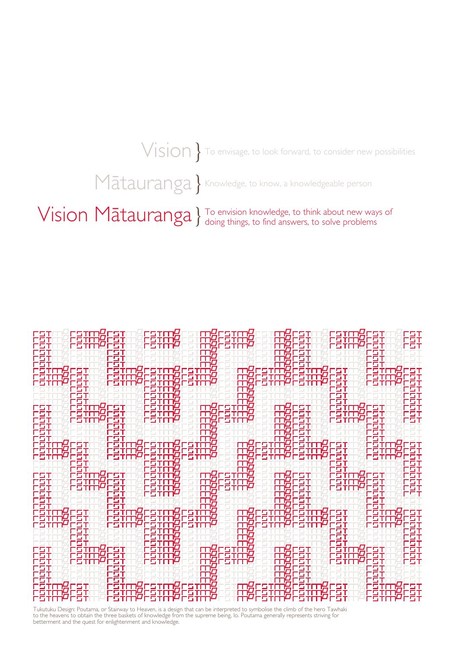$\forall$   $\mathsf{ision}$  To envisage, to look forward, to consider new possibilities

Mātauranga } Knowledge, to know, a knowledgeable person

Vision Mātauranga } To envision knowledge, to think about new ways of doing things, to find answers, to solve problems



Tukutuku Design: Poutama, or Stairway to Heaven, is a design that can be interpreted to symbolise the climb of the hero Tawhaki<br>to the heavens to obtain the three baskets of knowledge from the supreme being, lo. Poutama ge betterment and the quest for enlightenment and knowledge.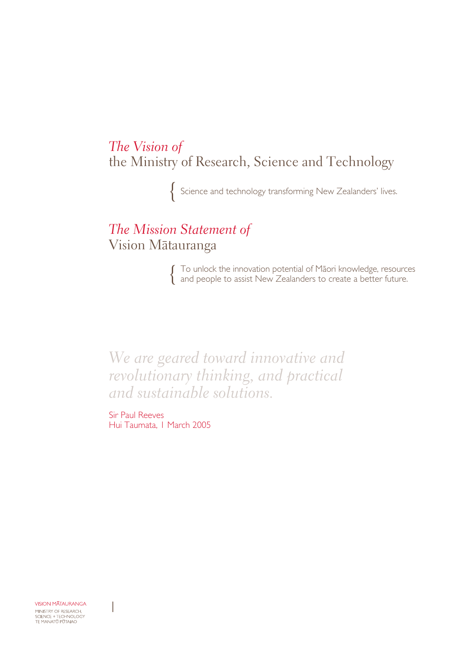*The Vision of* the Ministry of Research, Science and Technology

Science and technology transforming New Zealanders' lives.

### *The Mission Statement of* Vision Mätauranga

To unlock the innovation potential of Mäori knowledge, resources and people to assist New Zealanders to create a better future.

*We are geared toward innovative and revolutionary thinking, and practical and sustainable solutions.*

Sir Paul Reeves Hui Taumata, I March 2005

**VISION MATAURANGA** MINISTRY OF RESEARCH,<br>SCIENCE + TECHNOLOGY<br>TE MANATŪ PŪTAIAO

 $\begin{array}{c} \rule{0pt}{2ex} \rule{0pt}{2ex} \rule{0pt}{2ex} \rule{0pt}{2ex} \rule{0pt}{2ex} \rule{0pt}{2ex} \rule{0pt}{2ex} \rule{0pt}{2ex} \rule{0pt}{2ex} \rule{0pt}{2ex} \rule{0pt}{2ex} \rule{0pt}{2ex} \rule{0pt}{2ex} \rule{0pt}{2ex} \rule{0pt}{2ex} \rule{0pt}{2ex} \rule{0pt}{2ex} \rule{0pt}{2ex} \rule{0pt}{2ex} \rule{0pt}{2ex} \rule{0pt}{2ex} \rule{0pt}{2ex} \rule{0pt}{2ex} \rule{0pt}{$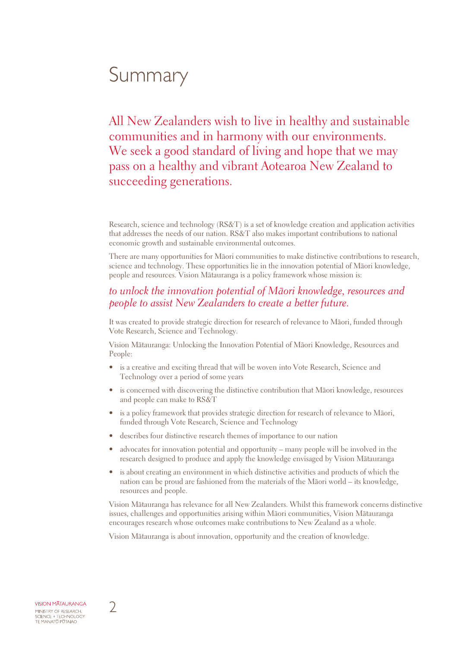## Summary

All New Zealanders wish to live in healthy and sustainable communities and in harmony with our environments. We seek a good standard of living and hope that we may pass on a healthy and vibrant Aotearoa New Zealand to succeeding generations.

Research, science and technology (RS&T) is a set of knowledge creation and application activities that addresses the needs of our nation. RS&T also makes important contributions to national economic growth and sustainable environmental outcomes.

There are many opportunities for Mäori communities to make distinctive contributions to research, science and technology. These opportunities lie in the innovation potential of Mäori knowledge, people and resources. Vision Mätauranga is a policy framework whose mission is:

#### *to unlock the innovation potential of Mäori knowledge, resources and people to assist New Zealanders to create a better future.*

It was created to provide strategic direction for research of relevance to Mäori, funded through Vote Research, Science and Technology.

Vision Mätauranga: Unlocking the Innovation Potential of Mäori Knowledge, Resources and People:

- is a creative and exciting thread that will be woven into Vote Research, Science and Technology over a period of some years
- is concerned with discovering the distinctive contribution that Mäori knowledge, resources and people can make to RS&T
- is a policy framework that provides strategic direction for research of relevance to Māori, funded through Vote Research, Science and Technology
- describes four distinctive research themes of importance to our nation
- advocates for innovation potential and opportunity many people will be involved in the research designed to produce and apply the knowledge envisaged by Vision Mätauranga
- is about creating an environment in which distinctive activities and products of which the nation can be proud are fashioned from the materials of the Mäori world – its knowledge, resources and people.

Vision Mätauranga has relevance for all New Zealanders. Whilst this framework concerns distinctive issues, challenges and opportunities arising within Mäori communities, Vision Mätauranga encourages research whose outcomes make contributions to New Zealand as a whole.

Vision Mätauranga is about innovation, opportunity and the creation of knowledge.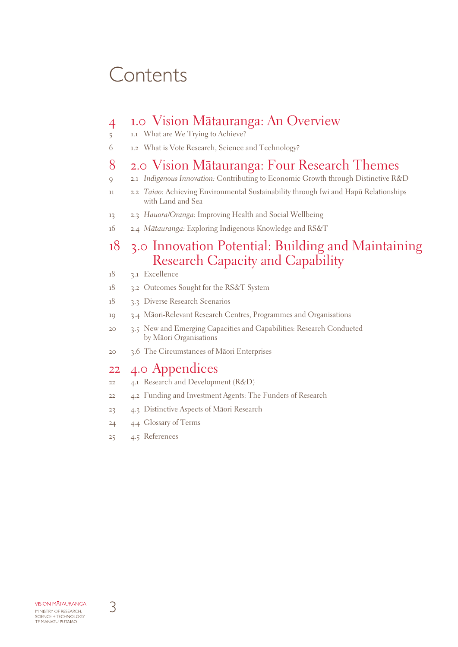## **Contents**

### 1.0 Vision Mätauranga: An Overview

- 1.1 What are We Trying to Achieve?
- 1.2 What is Vote Research, Science and Technology?

### 2.0 Vision Mätauranga: Four Research Themes

- 2.1 *Indigenous Innovation:* Contributing to Economic Growth through Distinctive R&D
- 2.2 *Taiao:* Achieving Environmental Sustainability through Iwi and Hapü Relationships with Land and Sea
- 2.3 *Hauora/Oranga:* Improving Health and Social Wellbeing
- 2.4 *Mätauranga:* Exploring Indigenous Knowledge and RS&T

### 3.0 Innovation Potential: Building and Maintaining Research Capacity and Capability

- 3.1 Excellence
- 3.2 Outcomes Sought for the RS&T System
- 3.3 Diverse Research Scenarios
- 3.4 Mäori-Relevant Research Centres, Programmes and Organisations
- 3.5 New and Emerging Capacities and Capabilities: Research Conducted by Mäori Organisations
- 3.6 The Circumstances of Mäori Enterprises

### 4.0 Appendices

- 4.1 Research and Development (R&D)
- 4.2 Funding and Investment Agents: The Funders of Research
- 4.3 Distinctive Aspects of Mäori Research
- 4.4 Glossary of Terms
- 4.5 References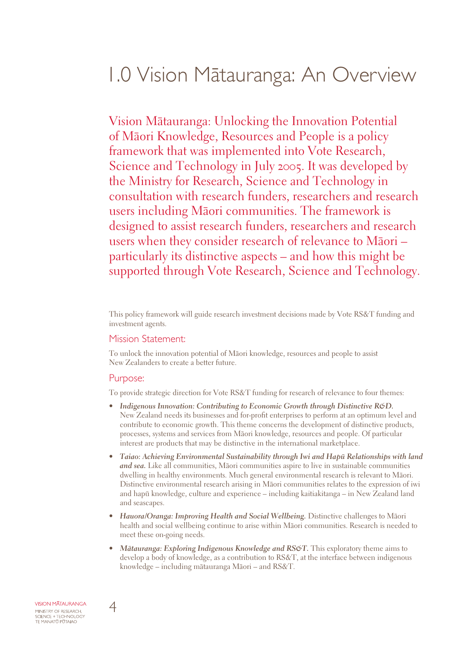## 1.0 Vision Mätauranga: An Overview

Vision Mätauranga: Unlocking the Innovation Potential of Mäori Knowledge, Resources and People is a policy framework that was implemented into Vote Research, Science and Technology in July 2005. It was developed by the Ministry for Research, Science and Technology in consultation with research funders, researchers and research users including Mäori communities. The framework is designed to assist research funders, researchers and research users when they consider research of relevance to Mäori – particularly its distinctive aspects – and how this might be supported through Vote Research, Science and Technology.

This policy framework will guide research investment decisions made by Vote RS&T funding and investment agents.

#### Mission Statement:

To unlock the innovation potential of Mäori knowledge, resources and people to assist New Zealanders to create a better future.

#### Purpose:

To provide strategic direction for Vote RS&T funding for research of relevance to four themes:

- *• Indigenous Innovation: Contributing to Economic Growth through Distinctive R&D.* New Zealand needs its businesses and for-profit enterprises to perform at an optimum level and contribute to economic growth. This theme concerns the development of distinctive products, processes, systems and services from Mäori knowledge, resources and people. Of particular interest are products that may be distinctive in the international marketplace.
- *• Taiao: Achieving Environmental Sustainability through Iwi and Hapü Relationships with land and sea.* Like all communities, Mäori communities aspire to live in sustainable communities dwelling in healthy environments. Much general environmental research is relevant to Mäori. Distinctive environmental research arising in Mäori communities relates to the expression of iwi and hapü knowledge, culture and experience – including kaitiakitanga – in New Zealand land and seascapes.
- *• Hauora/Oranga: Improving Health and Social Wellbeing.* Distinctive challenges to Mäori health and social wellbeing continue to arise within Mäori communities. Research is needed to meet these on-going needs.
- *• Mätauranga: Exploring Indigenous Knowledge and RS&T.* This exploratory theme aims to develop a body of knowledge, as a contribution to RS&T, at the interface between indigenous knowledge – including mätauranga Mäori – and RS&T.

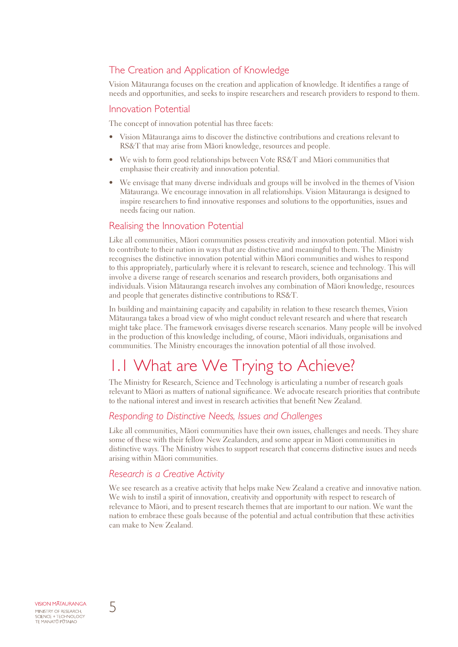### The Creation and Application of Knowledge

Vision Mätauranga focuses on the creation and application of knowledge. It identifies a range of needs and opportunities, and seeks to inspire researchers and research providers to respond to them.

#### Innovation Potential

The concept of innovation potential has three facets:

- Vision Mätauranga aims to discover the distinctive contributions and creations relevant to RS&T that may arise from Mäori knowledge, resources and people.
- We wish to form good relationships between Vote RS&T and Mäori communities that emphasise their creativity and innovation potential.
- We envisage that many diverse individuals and groups will be involved in the themes of Vision Mätauranga. We encourage innovation in all relationships. Vision Mätauranga is designed to inspire researchers to find innovative responses and solutions to the opportunities, issues and needs facing our nation.

#### Realising the Innovation Potential

Like all communities, Mäori communities possess creativity and innovation potential. Mäori wish to contribute to their nation in ways that are distinctive and meaningful to them. The Ministry recognises the distinctive innovation potential within Mäori communities and wishes to respond to this appropriately, particularly where it is relevant to research, science and technology. This will involve a diverse range of research scenarios and research providers, both organisations and individuals. Vision Mätauranga research involves any combination of Mäori knowledge, resources and people that generates distinctive contributions to RS&T.

In building and maintaining capacity and capability in relation to these research themes, Vision Mätauranga takes a broad view of who might conduct relevant research and where that research might take place. The framework envisages diverse research scenarios. Many people will be involved in the production of this knowledge including, of course, Mäori individuals, organisations and communities. The Ministry encourages the innovation potential of all those involved.

### 1.1 What are We Trying to Achieve?

The Ministry for Research, Science and Technology is articulating a number of research goals relevant to Mäori as matters of national significance. We advocate research priorities that contribute to the national interest and invest in research activities that benefit New Zealand.

#### *Responding to Distinctive Needs, Issues and Challenges*

Like all communities, Mäori communities have their own issues, challenges and needs. They share some of these with their fellow New Zealanders, and some appear in Mäori communities in distinctive ways. The Ministry wishes to support research that concerns distinctive issues and needs arising within Mäori communities.

#### *Research is a Creative Activity*

We see research as a creative activity that helps make New Zealand a creative and innovative nation. We wish to instil a spirit of innovation, creativity and opportunity with respect to research of relevance to Mäori, and to present research themes that are important to our nation. We want the nation to embrace these goals because of the potential and actual contribution that these activities can make to New Zealand.

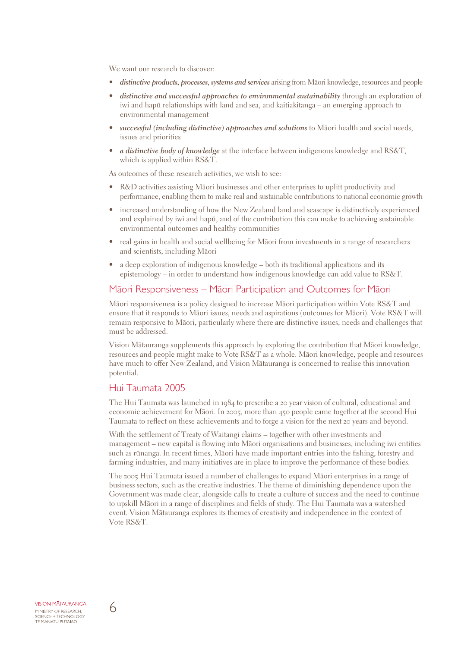We want our research to discover:

- *• distinctive products, processes, systems and services* arising from Mäori knowledge, resources and people
- *• distinctive and successful approaches to environmental sustainability* through an exploration of iwi and hapü relationships with land and sea, and kaitiakitanga – an emerging approach to environmental management
- *• successful (including distinctive) approaches and solutions* to Mäori health and social needs, issues and priorities
- *• a distinctive body of knowledge* at the interface between indigenous knowledge and RS&T, which is applied within RS&T.

As outcomes of these research activities, we wish to see:

- R&D activities assisting Māori businesses and other enterprises to uplift productivity and performance, enabling them to make real and sustainable contributions to national economic growth
- increased understanding of how the New Zealand land and seascape is distinctively experienced and explained by iwi and hapü, and of the contribution this can make to achieving sustainable environmental outcomes and healthy communities
- real gains in health and social wellbeing for Mäori from investments in a range of researchers and scientists, including Mäori
- a deep exploration of indigenous knowledge both its traditional applications and its epistemology – in order to understand how indigenous knowledge can add value to RS&T.

#### Mäori Responsiveness – Mäori Participation and Outcomes for Mäori

Mäori responsiveness is a policy designed to increase Mäori participation within Vote RS&T and ensure that it responds to Mäori issues, needs and aspirations (outcomes for Mäori). Vote RS&T will remain responsive to Mäori, particularly where there are distinctive issues, needs and challenges that must be addressed.

Vision Mätauranga supplements this approach by exploring the contribution that Mäori knowledge, resources and people might make to Vote RS&T as a whole. Mäori knowledge, people and resources have much to offer New Zealand, and Vision Mätauranga is concerned to realise this innovation potential.

#### Hui Taumata 2005

The Hui Taumata was launched in 1984 to prescribe a 20 year vision of cultural, educational and economic achievement for Mäori. In 2005, more than 450 people came together at the second Hui Taumata to reflect on these achievements and to forge a vision for the next 20 years and beyond.

With the settlement of Treaty of Waitangi claims – together with other investments and management – new capital is flowing into Mäori organisations and businesses, including iwi entities such as rünanga. In recent times, Mäori have made important entries into the fishing, forestry and farming industries, and many initiatives are in place to improve the performance of these bodies.

The 2005 Hui Taumata issued a number of challenges to expand Mäori enterprises in a range of business sectors, such as the creative industries. The theme of diminishing dependence upon the Government was made clear, alongside calls to create a culture of success and the need to continue to upskill Mäori in a range of disciplines and fields of study. The Hui Taumata was a watershed event. Vision Mätauranga explores its themes of creativity and independence in the context of Vote RS&T.

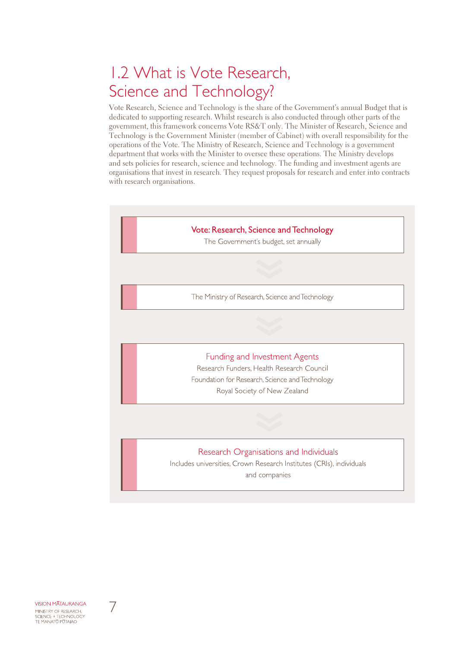## 1.2 What is Vote Research, Science and Technology?

Vote Research, Science and Technology is the share of the Government's annual Budget that is dedicated to supporting research. Whilst research is also conducted through other parts of the government, this framework concerns Vote RS&T only. The Minister of Research, Science and Technology is the Government Minister (member of Cabinet) with overall responsibility for the operations of the Vote. The Ministry of Research, Science and Technology is a government department that works with the Minister to oversee these operations. The Ministry develops and sets policies for research, science and technology. The funding and investment agents are organisations that invest in research. They request proposals for research and enter into contracts with research organisations.



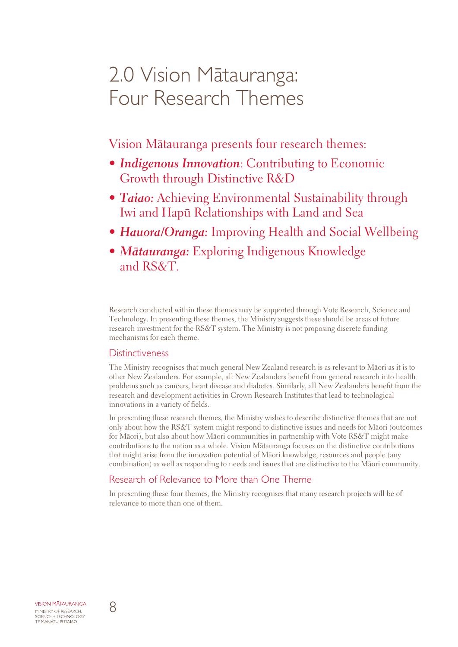## 2.0 Vision Mätauranga: Four Research Themes

Vision Mätauranga presents four research themes:

- *• Indigenous Innovation*: Contributing to Economic Growth through Distinctive R&D
- *Taiao:* Achieving Environmental Sustainability through Iwi and Hapü Relationships with Land and Sea
- Hauora/Oranga: Improving Health and Social Wellbeing
- *• Mätauranga:* Exploring Indigenous Knowledge and RS&T.

Research conducted within these themes may be supported through Vote Research, Science and Technology. In presenting these themes, the Ministry suggests these should be areas of future research investment for the RS&T system. The Ministry is not proposing discrete funding mechanisms for each theme.

#### **Distinctiveness**

The Ministry recognises that much general New Zealand research is as relevant to Mäori as it is to other New Zealanders. For example, all New Zealanders benefit from general research into health problems such as cancers, heart disease and diabetes. Similarly, all New Zealanders benefit from the research and development activities in Crown Research Institutes that lead to technological innovations in a variety of fields.

In presenting these research themes, the Ministry wishes to describe distinctive themes that are not only about how the RS&T system might respond to distinctive issues and needs for Mäori (outcomes for Mäori), but also about how Mäori communities in partnership with Vote RS&T might make contributions to the nation as a whole. Vision Mätauranga focuses on the distinctive contributions that might arise from the innovation potential of Mäori knowledge, resources and people (any combination) as well as responding to needs and issues that are distinctive to the Mäori community.

#### Research of Relevance to More than One Theme

In presenting these four themes, the Ministry recognises that many research projects will be of relevance to more than one of them.

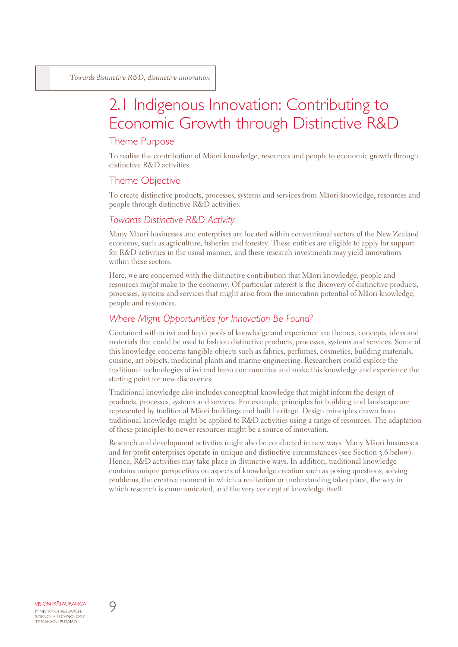### 2.1 Indigenous Innovation: Contributing to Economic Growth through Distinctive R&D

#### Theme Purpose

To realise the contribution of Mäori knowledge, resources and people to economic growth through distinctive R&D activities.

#### Theme Objective

To create distinctive products, processes, systems and services from Mäori knowledge, resources and people through distinctive R&D activities.

#### *Towards Distinctive R&D Activity*

Many Mäori businesses and enterprises are located within conventional sectors of the New Zealand economy, such as agriculture, fisheries and forestry. These entities are eligible to apply for support for R&D activities in the usual manner, and these research investments may yield innovations within these sectors.

Here, we are concerned with the distinctive contribution that Mäori knowledge, people and resources might make to the economy. Of particular interest is the discovery of distinctive products, processes, systems and services that might arise from the innovation potential of Mäori knowledge, people and resources.

#### *Where Might Opportunities for Innovation Be Found?*

Contained within iwi and hapü pools of knowledge and experience are themes, concepts, ideas and materials that could be used to fashion distinctive products, processes, systems and services. Some of this knowledge concerns tangible objects such as fabrics, perfumes, cosmetics, building materials, cuisine, art objects, medicinal plants and marine engineering. Researchers could explore the traditional technologies of iwi and hapü communities and make this knowledge and experience the starting point for new discoveries.

Traditional knowledge also includes conceptual knowledge that might inform the design of products, processes, systems and services. For example, principles for building and landscape are represented by traditional Mäori buildings and built heritage. Design principles drawn from traditional knowledge might be applied to R&D activities using a range of resources. The adaptation of these principles to newer resources might be a source of innovation.

Research and development activities might also be conducted in new ways. Many Mäori businesses and for-profit enterprises operate in unique and distinctive circumstances (see Section 3.6 below). Hence, R&D activities may take place in distinctive ways. In addition, traditional knowledge contains unique perspectives on aspects of knowledge creation such as posing questions, solving problems, the creative moment in which a realisation or understanding takes place, the way in which research is communicated, and the very concept of knowledge itself.

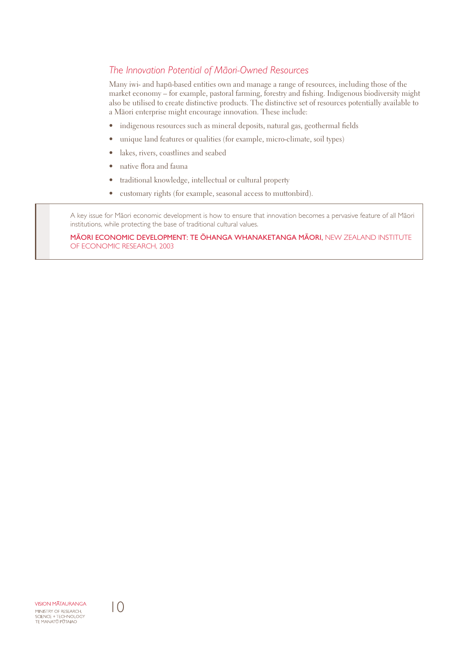#### *The Innovation Potential of Mäori-Owned Resources*

Many iwi- and hapü-based entities own and manage a range of resources, including those of the market economy – for example, pastoral farming, forestry and fishing. Indigenous biodiversity might also be utilised to create distinctive products. The distinctive set of resources potentially available to a Mäori enterprise might encourage innovation. These include:

- indigenous resources such as mineral deposits, natural gas, geothermal fields
- unique land features or qualities (for example, micro-climate, soil types)
- lakes, rivers, coastlines and seabed
- native flora and fauna
- traditional knowledge, intellectual or cultural property
- customary rights (for example, seasonal access to muttonbird).

A key issue for Mäori economic development is how to ensure that innovation becomes a pervasive feature of all Mäori institutions, while protecting the base of traditional cultural values.

Mäori Economic Development: Te Öhanga Whanaketanga Mäori, New Zealand Institute of Economic Research, 2003

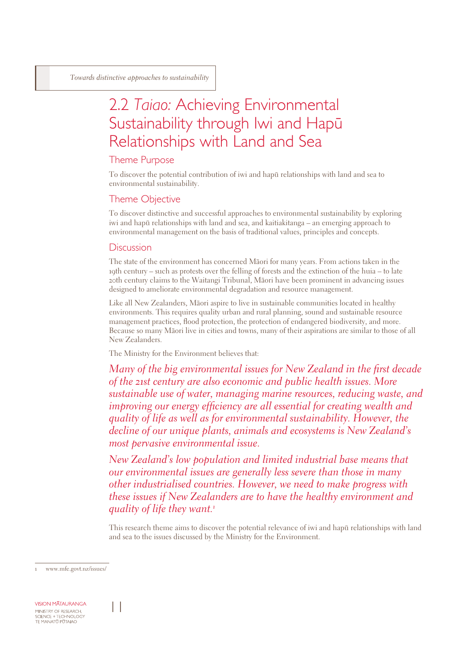### 2.2 *Taiao:* Achieving Environmental Sustainability through Iwi and Hapü Relationships with Land and Sea

#### Theme Purpose

To discover the potential contribution of iwi and hapü relationships with land and sea to environmental sustainability.

#### Theme Objective

To discover distinctive and successful approaches to environmental sustainability by exploring iwi and hapü relationships with land and sea, and kaitiakitanga – an emerging approach to environmental management on the basis of traditional values, principles and concepts.

#### **Discussion**

The state of the environment has concerned Mäori for many years. From actions taken in the 19th century – such as protests over the felling of forests and the extinction of the huia – to late 20th century claims to the Waitangi Tribunal, Mäori have been prominent in advancing issues designed to ameliorate environmental degradation and resource management.

Like all New Zealanders, Mäori aspire to live in sustainable communities located in healthy environments. This requires quality urban and rural planning, sound and sustainable resource management practices, flood protection, the protection of endangered biodiversity, and more. Because so many Mäori live in cities and towns, many of their aspirations are similar to those of all New Zealanders.

The Ministry for the Environment believes that:

*Many of the big environmental issues for New Zealand in the first decade of the 21st century are also economic and public health issues. More sustainable use of water, managing marine resources, reducing waste, and improving our energy efficiency are all essential for creating wealth and quality of life as well as for environmental sustainability. However, the decline of our unique plants, animals and ecosystems is New Zealand's most pervasive environmental issue.*

*New Zealand's low population and limited industrial base means that our environmental issues are generally less severe than those in many other industrialised countries. However, we need to make progress with these issues if New Zealanders are to have the healthy environment and quality of life they want.*

This research theme aims to discover the potential relevance of iwi and hapü relationships with land and sea to the issues discussed by the Ministry for the Environment.

www.mfe.govt.nz/issues/

**VISION MATAURANGA** MINISTRY OF RESEARCH, SCIENCE + TECHNOLOGY<br>TE MANATŪ PŪTAIAO

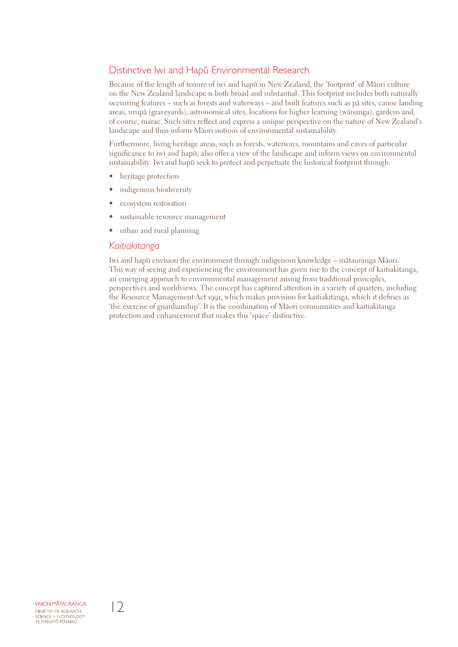#### Distinctive Iwi and Hapü Environmental Research

Because of the length of tenure of iwi and hapü in New Zealand, the 'footprint' of Mäori culture on the New Zealand landscape is both broad and substantial. This footprint includes both naturally occurring features – such as forests and waterways – and built features such as pä sites, canoe landing areas, urupä (graveyards), astronomical sites, locations for higher learning (wänanga), gardens and, of course, marae. Such sites reflect and express a unique perspective on the nature of New Zealand's landscape and thus inform Mäori notions of environmental sustainability.

Furthermore, living heritage areas, such as forests, waterways, mountains and caves of particular significance to iwi and hapü, also offer a view of the landscape and inform views on environmental sustainability. Iwi and hapü seek to protect and perpetuate the historical footprint through:

- heritage protection
- indigenous biodiversity
- ecosystem restoration
- sustainable resource management
- urban and rural planning.

#### *Kaitiakitanga*

Iwi and hapü envision the environment through indigenous knowledge – mätauranga Mäori. This way of seeing and experiencing the environment has given rise to the concept of kaitiakitanga, an emerging approach to environmental management arising from traditional principles, perspectives and worldviews. The concept has captured attention in a variety of quarters, including the Resource Management Act 1991, which makes provision for kaitiakitanga, which it defines as 'the exercise of guardianship'. It is the combination of Mäori communities and kaitiakitanga protection and enhancement that makes this 'space' distinctive.

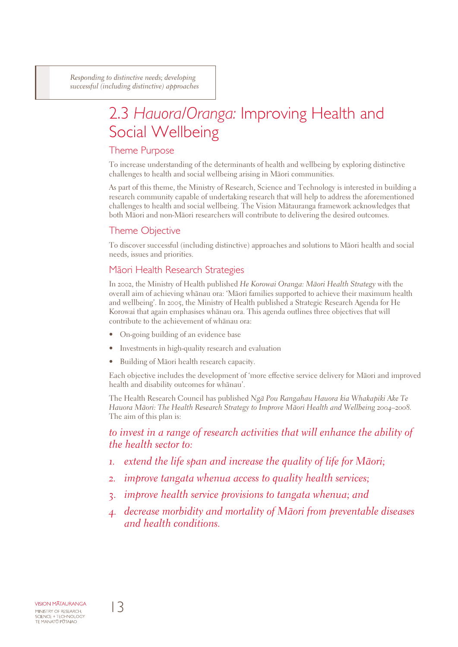*Responding to distinctive needs; developing successful (including distinctive) approaches*

## 2.3 *Hauora/Oranga:* Improving Health and Social Wellbeing

#### Theme Purpose

To increase understanding of the determinants of health and wellbeing by exploring distinctive challenges to health and social wellbeing arising in Mäori communities.

As part of this theme, the Ministry of Research, Science and Technology is interested in building a research community capable of undertaking research that will help to address the aforementioned challenges to health and social wellbeing. The Vision Mätauranga framework acknowledges that both Mäori and non-Mäori researchers will contribute to delivering the desired outcomes.

#### Theme Objective

To discover successful (including distinctive) approaches and solutions to Mäori health and social needs, issues and priorities.

#### Mäori Health Research Strategies

In 2002, the Ministry of Health published *He Korowai Oranga: Mäori Health Strategy* with the overall aim of achieving whänau ora: 'Mäori families supported to achieve their maximum health and wellbeing'. In 2005, the Ministry of Health published a Strategic Research Agenda for He Korowai that again emphasises whänau ora. This agenda outlines three objectives that will contribute to the achievement of whänau ora:

- On-going building of an evidence base
- Investments in high-quality research and evaluation
- Building of Mäori health research capacity.

Each objective includes the development of 'more effective service delivery for Mäori and improved health and disability outcomes for whänau'.

The Health Research Council has published *Ngä Pou Rangahau Hauora kia Whakapiki Ake Te Hauora Mäori: The Health Research Strategy to Improve Mäori Health and Wellbeing 2004–2008.*  The aim of this plan is:

*to invest in a range of research activities that will enhance the ability of the health sector to:*

- *1. extend the life span and increase the quality of life for Mäori;*
- *2. improve tangata whenua access to quality health services;*
- *3. improve health service provisions to tangata whenua; and*
- *4. decrease morbidity and mortality of Mäori from preventable diseases and health conditions.*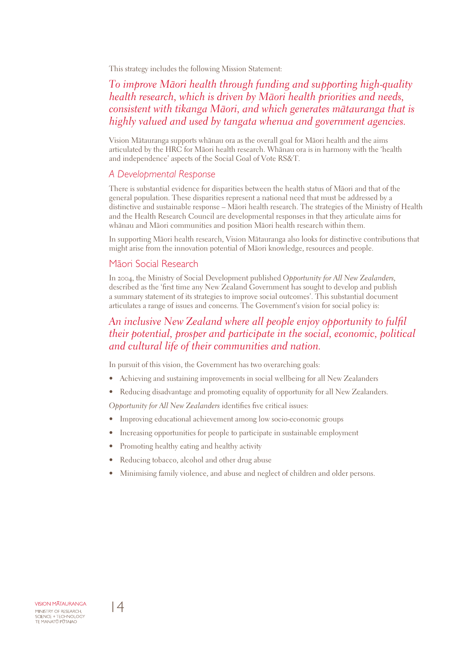This strategy includes the following Mission Statement:

### *To improve Mäori health through funding and supporting high-quality health research, which is driven by Mäori health priorities and needs, consistent with tikanga Mäori, and which generates mätauranga that is highly valued and used by tangata whenua and government agencies.*

Vision Mätauranga supports whänau ora as the overall goal for Mäori health and the aims articulated by the HRC for Mäori health research. Whänau ora is in harmony with the 'health and independence' aspects of the Social Goal of Vote RS&T.

#### *A Developmental Response*

There is substantial evidence for disparities between the health status of Mäori and that of the general population. These disparities represent a national need that must be addressed by a distinctive and sustainable response – Mäori health research. The strategies of the Ministry of Health and the Health Research Council are developmental responses in that they articulate aims for whänau and Mäori communities and position Mäori health research within them.

In supporting Mäori health research, Vision Mätauranga also looks for distinctive contributions that might arise from the innovation potential of Mäori knowledge, resources and people.

#### Mäori Social Research

In 2004, the Ministry of Social Development published *Opportunity for All New Zealanders,*  described as the 'first time any New Zealand Government has sought to develop and publish a summary statement of its strategies to improve social outcomes'. This substantial document articulates a range of issues and concerns. The Government's vision for social policy is:

### *An inclusive New Zealand where all people enjoy opportunity to fulfil their potential, prosper and participate in the social, economic, political and cultural life of their communities and nation.*

In pursuit of this vision, the Government has two overarching goals:

- Achieving and sustaining improvements in social wellbeing for all New Zealanders
- Reducing disadvantage and promoting equality of opportunity for all New Zealanders.

*Opportunity for All New Zealanders* identifies five critical issues:

- Improving educational achievement among low socio-economic groups
- Increasing opportunities for people to participate in sustainable employment
- Promoting healthy eating and healthy activity
- Reducing tobacco, alcohol and other drug abuse
- Minimising family violence, and abuse and neglect of children and older persons.

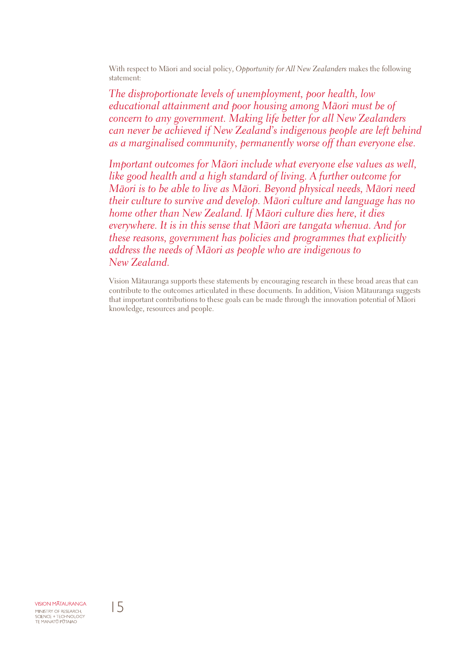With respect to Mäori and social policy, *Opportunity for All New Zealanders* makes the following statement:

*The disproportionate levels of unemployment, poor health, low educational attainment and poor housing among Mäori must be of concern to any government. Making life better for all New Zealanders can never be achieved if New Zealand's indigenous people are left behind as a marginalised community, permanently worse off than everyone else.*

*Important outcomes for Mäori include what everyone else values as well, like good health and a high standard of living. A further outcome for Mäori is to be able to live as Mäori. Beyond physical needs, Mäori need their culture to survive and develop. Mäori culture and language has no home other than New Zealand. If Mäori culture dies here, it dies everywhere. It is in this sense that Mäori are tangata whenua. And for these reasons, government has policies and programmes that explicitly address the needs of Mäori as people who are indigenous to New Zealand.*

Vision Mätauranga supports these statements by encouraging research in these broad areas that can contribute to the outcomes articulated in these documents. In addition, Vision Mätauranga suggests that important contributions to these goals can be made through the innovation potential of Mäori knowledge, resources and people.

**VISION MATAURANGA** MINISTRY OF RESEARCH, SCIENCE + TECHNOLOGY<br>TE MANATŪ PŪTAIAO

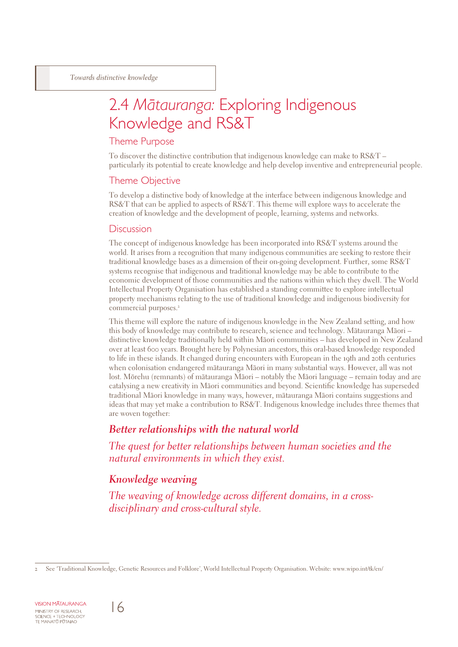## 2.4 *Mätauranga:* Exploring Indigenous Knowledge and RS&T

#### Theme Purpose

To discover the distinctive contribution that indigenous knowledge can make to RS&T – particularly its potential to create knowledge and help develop inventive and entrepreneurial people.

#### Theme Objective

To develop a distinctive body of knowledge at the interface between indigenous knowledge and RS&T that can be applied to aspects of RS&T. This theme will explore ways to accelerate the creation of knowledge and the development of people, learning, systems and networks.

#### **Discussion**

The concept of indigenous knowledge has been incorporated into RS&T systems around the world. It arises from a recognition that many indigenous communities are seeking to restore their traditional knowledge bases as a dimension of their on-going development. Further, some RS&T systems recognise that indigenous and traditional knowledge may be able to contribute to the economic development of those communities and the nations within which they dwell. The World Intellectual Property Organisation has established a standing committee to explore intellectual property mechanisms relating to the use of traditional knowledge and indigenous biodiversity for commercial purposes.

This theme will explore the nature of indigenous knowledge in the New Zealand setting, and how this body of knowledge may contribute to research, science and technology. Mätauranga Mäori – distinctive knowledge traditionally held within Mäori communities – has developed in New Zealand over at least 600 years. Brought here by Polynesian ancestors, this oral-based knowledge responded to life in these islands. It changed during encounters with European in the 19th and 20th centuries when colonisation endangered mätauranga Mäori in many substantial ways. However, all was not lost. Mörehu (remnants) of mätauranga Mäori – notably the Mäori language – remain today and are catalysing a new creativity in Mäori communities and beyond. Scientific knowledge has superseded traditional Mäori knowledge in many ways, however, mätauranga Mäori contains suggestions and ideas that may yet make a contribution to RS&T. Indigenous knowledge includes three themes that are woven together:

#### *Better relationships with the natural world*

*The quest for better relationships between human societies and the natural environments in which they exist.*

### *Knowledge weaving*

*The weaving of knowledge across different domains, in a crossdisciplinary and cross-cultural style.*



See 'Traditional Knowledge, Genetic Resources and Folklore', World Intellectual Property Organisation. Website: www.wipo.int/tk/en/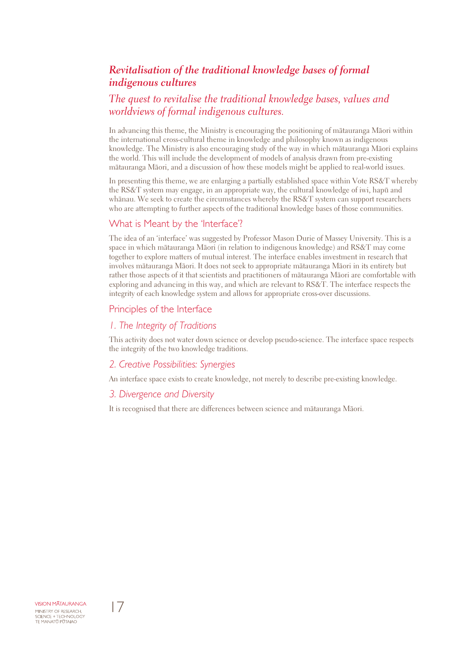### *Revitalisation of the traditional knowledge bases of formal indigenous cultures*

### *The quest to revitalise the traditional knowledge bases, values and worldviews of formal indigenous cultures.*

In advancing this theme, the Ministry is encouraging the positioning of mätauranga Mäori within the international cross-cultural theme in knowledge and philosophy known as indigenous knowledge. The Ministry is also encouraging study of the way in which mätauranga Mäori explains the world. This will include the development of models of analysis drawn from pre-existing mätauranga Mäori, and a discussion of how these models might be applied to real-world issues.

In presenting this theme, we are enlarging a partially established space within Vote RS&T whereby the RS&T system may engage, in an appropriate way, the cultural knowledge of iwi, hapü and whänau. We seek to create the circumstances whereby the RS&T system can support researchers who are attempting to further aspects of the traditional knowledge bases of those communities.

#### What is Meant by the 'Interface'?

The idea of an 'interface' was suggested by Professor Mason Durie of Massey University. This is a space in which mätauranga Mäori (in relation to indigenous knowledge) and RS&T may come together to explore matters of mutual interest. The interface enables investment in research that involves mätauranga Mäori. It does not seek to appropriate mätauranga Mäori in its entirety but rather those aspects of it that scientists and practitioners of mätauranga Mäori are comfortable with exploring and advancing in this way, and which are relevant to RS&T. The interface respects the integrity of each knowledge system and allows for appropriate cross-over discussions.

#### Principles of the Interface

#### *1. The Integrity of Traditions*

This activity does not water down science or develop pseudo-science. The interface space respects the integrity of the two knowledge traditions.

#### *2. Creative Possibilities: Synergies*

An interface space exists to create knowledge, not merely to describe pre-existing knowledge.

#### *3. Divergence and Diversity*

It is recognised that there are differences between science and mätauranga Mäori.

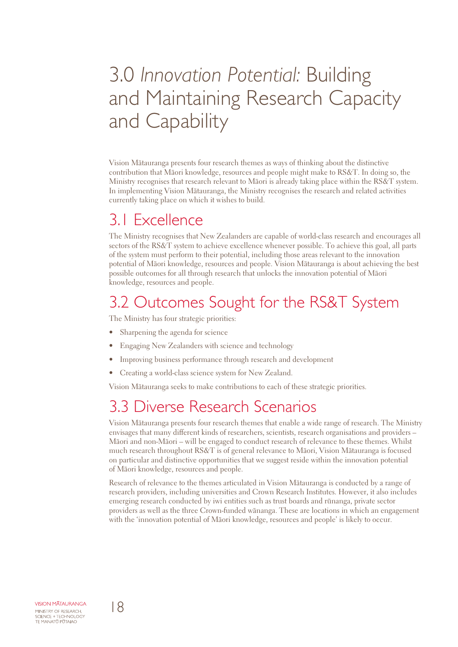## 3.0 *Innovation Potential:* Building and Maintaining Research Capacity and Capability

Vision Mätauranga presents four research themes as ways of thinking about the distinctive contribution that Mäori knowledge, resources and people might make to RS&T. In doing so, the Ministry recognises that research relevant to Mäori is already taking place within the RS&T system. In implementing Vision Mätauranga, the Ministry recognises the research and related activities currently taking place on which it wishes to build.

### 3.1 Excellence

The Ministry recognises that New Zealanders are capable of world-class research and encourages all sectors of the RS&T system to achieve excellence whenever possible. To achieve this goal, all parts of the system must perform to their potential, including those areas relevant to the innovation potential of Mäori knowledge, resources and people. Vision Mätauranga is about achieving the best possible outcomes for all through research that unlocks the innovation potential of Mäori knowledge, resources and people.

### 3.2 Outcomes Sought for the RS&T System

The Ministry has four strategic priorities:

- Sharpening the agenda for science
- Engaging New Zealanders with science and technology
- Improving business performance through research and development
- Creating a world-class science system for New Zealand.

Vision Mätauranga seeks to make contributions to each of these strategic priorities.

### 3.3 Diverse Research Scenarios

Vision Mätauranga presents four research themes that enable a wide range of research. The Ministry envisages that many different kinds of researchers, scientists, research organisations and providers – Mäori and non-Mäori – will be engaged to conduct research of relevance to these themes. Whilst much research throughout RS&T is of general relevance to Mäori, Vision Mätauranga is focused on particular and distinctive opportunities that we suggest reside within the innovation potential of Mäori knowledge, resources and people.

Research of relevance to the themes articulated in Vision Mätauranga is conducted by a range of research providers, including universities and Crown Research Institutes. However, it also includes emerging research conducted by iwi entities such as trust boards and rünanga, private sector providers as well as the three Crown-funded wänanga. These are locations in which an engagement with the 'innovation potential of Mäori knowledge, resources and people' is likely to occur.

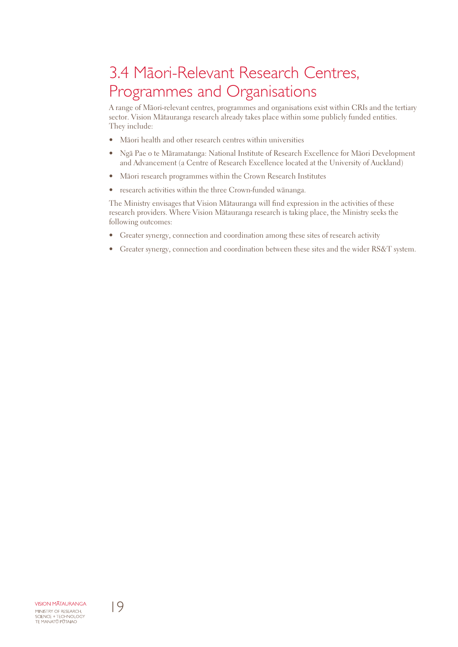## 3.4 Mäori-Relevant Research Centres, Programmes and Organisations

A range of Mäori-relevant centres, programmes and organisations exist within CRIs and the tertiary sector. Vision Mätauranga research already takes place within some publicly funded entities. They include:

- Māori health and other research centres within universities
- Ngä Pae o te Märamatanga: National Institute of Research Excellence for Mäori Development and Advancement (a Centre of Research Excellence located at the University of Auckland)
- Mäori research programmes within the Crown Research Institutes
- research activities within the three Crown-funded wänanga.

The Ministry envisages that Vision Mätauranga will find expression in the activities of these research providers. Where Vision Mätauranga research is taking place, the Ministry seeks the following outcomes:

- Greater synergy, connection and coordination among these sites of research activity
- Greater synergy, connection and coordination between these sites and the wider RS&T system.

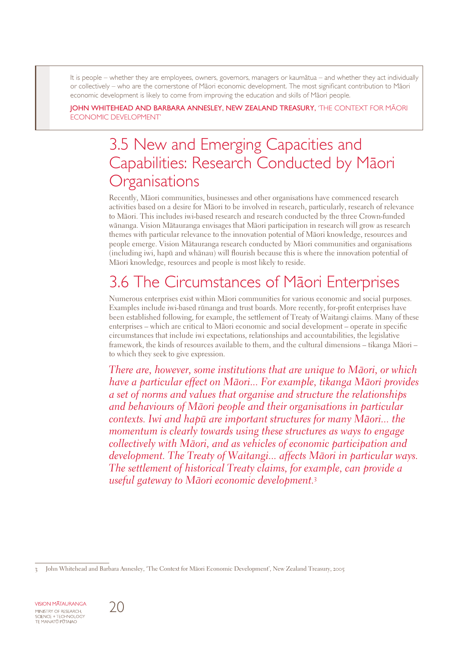It is people – whether they are employees, owners, governors, managers or kaumätua – and whether they act individually or collectively – who are the cornerstone of Mäori economic development. The most significant contribution to Mäori economic development is likely to come from improving the education and skills of Mäori people.

John Whitehead and Barbara Annesley, New Zealand Treasury, 'The Context for Mäori Economic Development'

## 3.5 New and Emerging Capacities and Capabilities: Research Conducted by Mäori **Organisations**

Recently, Mäori communities, businesses and other organisations have commenced research activities based on a desire for Mäori to be involved in research, particularly, research of relevance to Mäori. This includes iwi-based research and research conducted by the three Crown-funded wänanga. Vision Mätauranga envisages that Mäori participation in research will grow as research themes with particular relevance to the innovation potential of Mäori knowledge, resources and people emerge. Vision Mätauranga research conducted by Mäori communities and organisations (including iwi, hapü and whänau) will flourish because this is where the innovation potential of Mäori knowledge, resources and people is most likely to reside.

## 3.6 The Circumstances of Mäori Enterprises

Numerous enterprises exist within Mäori communities for various economic and social purposes. Examples include iwi-based rünanga and trust boards. More recently, for-profit enterprises have been established following, for example, the settlement of Treaty of Waitangi claims. Many of these enterprises – which are critical to Mäori economic and social development – operate in specific circumstances that include iwi expectations, relationships and accountabilities, the legislative framework, the kinds of resources available to them, and the cultural dimensions – tikanga Mäori – to which they seek to give expression.

*There are, however, some institutions that are unique to Mäori, or which have a particular effect on Mäori... For example, tikanga Mäori provides a set of norms and values that organise and structure the relationships and behaviours of Mäori people and their organisations in particular contexts. Iwi and hapü are important structures for many Mäori... the momentum is clearly towards using these structures as ways to engage collectively with Mäori, and as vehicles of economic participation and development. The Treaty of Waitangi... affects Mäori in particular ways. The settlement of historical Treaty claims, for example, can provide a useful gateway to Mäori economic development.*

**VISION MATAURANGA** MINISTRY OF RESEARCH,<br>SCIENCE + TECHNOLOGY<br>TE MANATŪ PŪTAIAO



John Whitehead and Barbara Annesley, 'The Context for Mäori Economic Development', New Zealand Treasury, 2005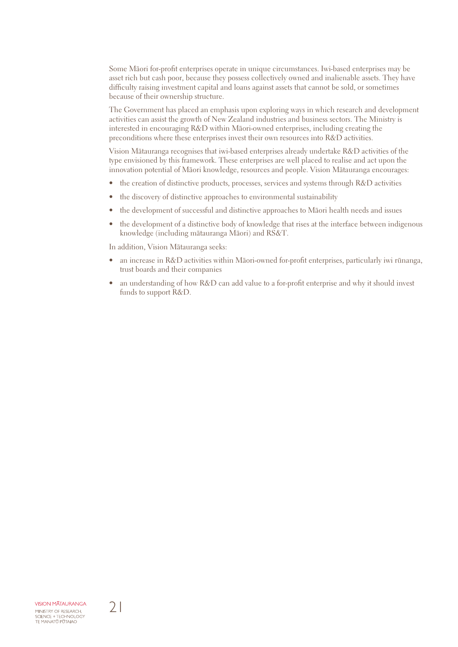Some Mäori for-profit enterprises operate in unique circumstances. Iwi-based enterprises may be asset rich but cash poor, because they possess collectively owned and inalienable assets. They have difficulty raising investment capital and loans against assets that cannot be sold, or sometimes because of their ownership structure.

The Government has placed an emphasis upon exploring ways in which research and development activities can assist the growth of New Zealand industries and business sectors. The Ministry is interested in encouraging R&D within Mäori-owned enterprises, including creating the preconditions where these enterprises invest their own resources into R&D activities.

Vision Mätauranga recognises that iwi-based enterprises already undertake R&D activities of the type envisioned by this framework. These enterprises are well placed to realise and act upon the innovation potential of Mäori knowledge, resources and people. Vision Mätauranga encourages:

- the creation of distinctive products, processes, services and systems through R&D activities
- the discovery of distinctive approaches to environmental sustainability
- the development of successful and distinctive approaches to Mäori health needs and issues
- the development of a distinctive body of knowledge that rises at the interface between indigenous knowledge (including mätauranga Mäori) and RS&T.

In addition, Vision Mätauranga seeks:

- an increase in R&D activities within Mäori-owned for-profit enterprises, particularly iwi rünanga, trust boards and their companies
- an understanding of how R&D can add value to a for-profit enterprise and why it should invest funds to support R&D.

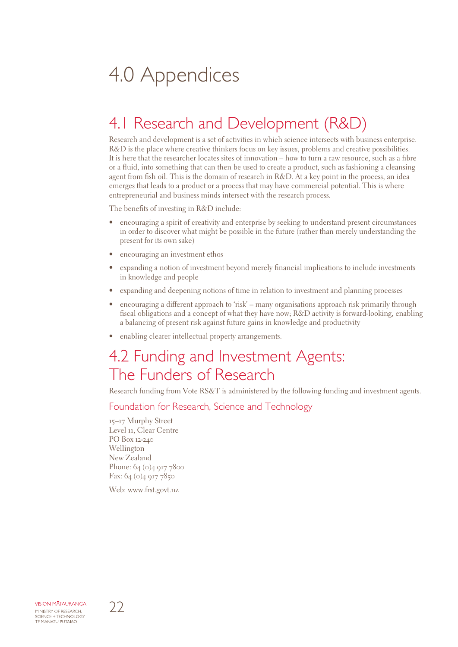## 4.0 Appendices

## 4.1 Research and Development (R&D)

Research and development is a set of activities in which science intersects with business enterprise. R&D is the place where creative thinkers focus on key issues, problems and creative possibilities. It is here that the researcher locates sites of innovation – how to turn a raw resource, such as a fibre or a fluid, into something that can then be used to create a product, such as fashioning a cleansing agent from fish oil. This is the domain of research in R&D. At a key point in the process, an idea emerges that leads to a product or a process that may have commercial potential. This is where entrepreneurial and business minds intersect with the research process.

The benefits of investing in R&D include:

- encouraging a spirit of creativity and enterprise by seeking to understand present circumstances in order to discover what might be possible in the future (rather than merely understanding the present for its own sake)
- encouraging an investment ethos
- expanding a notion of investment beyond merely financial implications to include investments in knowledge and people
- expanding and deepening notions of time in relation to investment and planning processes
- encouraging a different approach to 'risk' many organisations approach risk primarily through fiscal obligations and a concept of what they have now; R&D activity is forward-looking, enabling a balancing of present risk against future gains in knowledge and productivity
- enabling clearer intellectual property arrangements.

### 4.2 Funding and Investment Agents: The Funders of Research

Research funding from Vote RS&T is administered by the following funding and investment agents.

#### Foundation for Research, Science and Technology

15–17 Murphy Street Level 11, Clear Centre PO Box 12-240 Wellington New Zealand Phone: 64 (0) 4 917 7800 Fax: 64 (0)4 917 7850

Web: www.frst.govt.nz

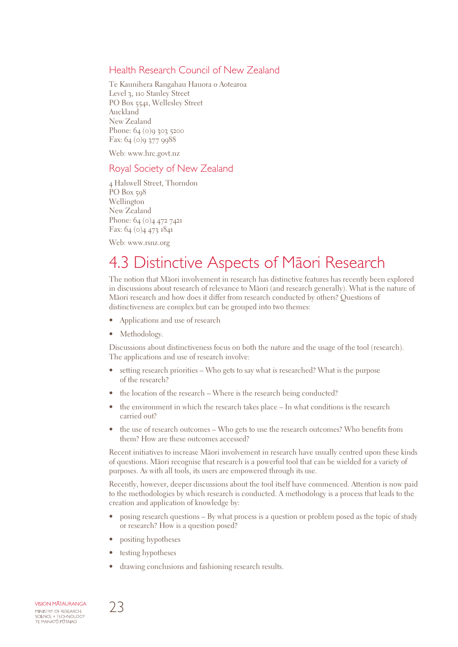#### Health Research Council of New Zealand

Te Kaunihera Rangahau Hauora o Aotearoa Level 3, 110 Stanley Street PO Box 5541, Wellesley Street Auckland New Zealand Phone: 64 (0)9 303 5200 Fax:  $64 (o)$ 9 377 9988

Web: www.hrc.govt.nz

#### Royal Society of New Zealand

4 Halswell Street, Thorndon PO Box 508 Wellington New Zealand Phone: 64 (0)4 472 7421 Fax: 64 (0)4 473 1841

Web: www.rsnz.org

### 4.3 Distinctive Aspects of Mäori Research

The notion that Mäori involvement in research has distinctive features has recently been explored in discussions about research of relevance to Mäori (and research generally). What is the nature of Mäori research and how does it differ from research conducted by others? Questions of distinctiveness are complex but can be grouped into two themes:

- Applications and use of research
- Methodology.

Discussions about distinctiveness focus on both the nature and the usage of the tool (research). The applications and use of research involve:

- setting research priorities Who gets to say what is researched? What is the purpose of the research?
- the location of the research Where is the research being conducted?
- the environment in which the research takes place In what conditions is the research carried out?
- the use of research outcomes Who gets to use the research outcomes? Who benefits from them? How are these outcomes accessed?

Recent initiatives to increase Mäori involvement in research have usually centred upon these kinds of questions. Mäori recognise that research is a powerful tool that can be wielded for a variety of purposes. As with all tools, its users are empowered through its use.

Recently, however, deeper discussions about the tool itself have commenced. Attention is now paid to the methodologies by which research is conducted. A methodology is a process that leads to the creation and application of knowledge by:

- posing research questions By what process is a question or problem posed as the topic of study or research? How is a question posed?
- positing hypotheses
- testing hypotheses
- drawing conclusions and fashioning research results.

**VISION MATAURANGA** MINISTRY OF RESEARCH, SCIENCE + TECHNOLOGY<br>TE MANATŪ PŪTAIAO

23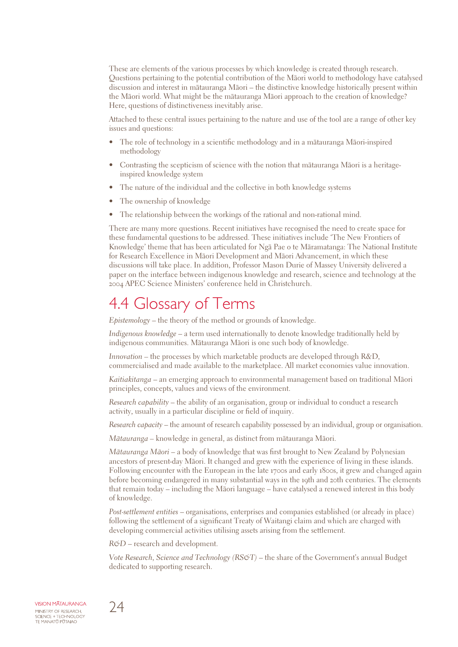These are elements of the various processes by which knowledge is created through research. Questions pertaining to the potential contribution of the Mäori world to methodology have catalysed discussion and interest in mätauranga Mäori – the distinctive knowledge historically present within the Mäori world. What might be the mätauranga Mäori approach to the creation of knowledge? Here, questions of distinctiveness inevitably arise.

Attached to these central issues pertaining to the nature and use of the tool are a range of other key issues and questions:

- The role of technology in a scientific methodology and in a mätauranga Mäori-inspired methodology
- Contrasting the scepticism of science with the notion that mätauranga Mäori is a heritageinspired knowledge system
- The nature of the individual and the collective in both knowledge systems
- The ownership of knowledge
- The relationship between the workings of the rational and non-rational mind.

There are many more questions. Recent initiatives have recognised the need to create space for these fundamental questions to be addressed. These initiatives include 'The New Frontiers of Knowledge' theme that has been articulated for Ngä Pae o te Märamatanga: The National Institute for Research Excellence in Mäori Development and Mäori Advancement, in which these discussions will take place. In addition, Professor Mason Durie of Massey University delivered a paper on the interface between indigenous knowledge and research, science and technology at the 2004 APEC Science Ministers' conference held in Christchurch.

### 4.4 Glossary of Terms

*Epistemology* – the theory of the method or grounds of knowledge.

*Indigenous knowledge* – a term used internationally to denote knowledge traditionally held by indigenous communities. Mätauranga Mäori is one such body of knowledge.

*Innovation –* the processes by which marketable products are developed through R&D, commercialised and made available to the marketplace. All market economies value innovation.

*Kaitiakitanga* – an emerging approach to environmental management based on traditional Mäori principles, concepts, values and views of the environment.

*Research capability* – the ability of an organisation, group or individual to conduct a research activity, usually in a particular discipline or field of inquiry.

*Research capacity* – the amount of research capability possessed by an individual, group or organisation.

*Mätauranga –* knowledge in general, as distinct from mätauranga Mäori.

*Mätauranga Mäori* – a body of knowledge that was first brought to New Zealand by Polynesian ancestors of present-day Mäori. It changed and grew with the experience of living in these islands. Following encounter with the European in the late 1700s and early 1800s, it grew and changed again before becoming endangered in many substantial ways in the 19th and 20th centuries. The elements that remain today – including the Mäori language – have catalysed a renewed interest in this body of knowledge.

*Post-settlement entities* – organisations, enterprises and companies established (or already in place) following the settlement of a significant Treaty of Waitangi claim and which are charged with developing commercial activities utilising assets arising from the settlement.

*R&D* – research and development.

*Vote Research, Science and Technology (RS&T)* – the share of the Government's annual Budget dedicated to supporting research.

**VISION MATAURANGA** MINISTRY OF RESEARCH, SCIENCE + TECHNOLOGY<br>TE MANATŪ PŪTAIAO

24